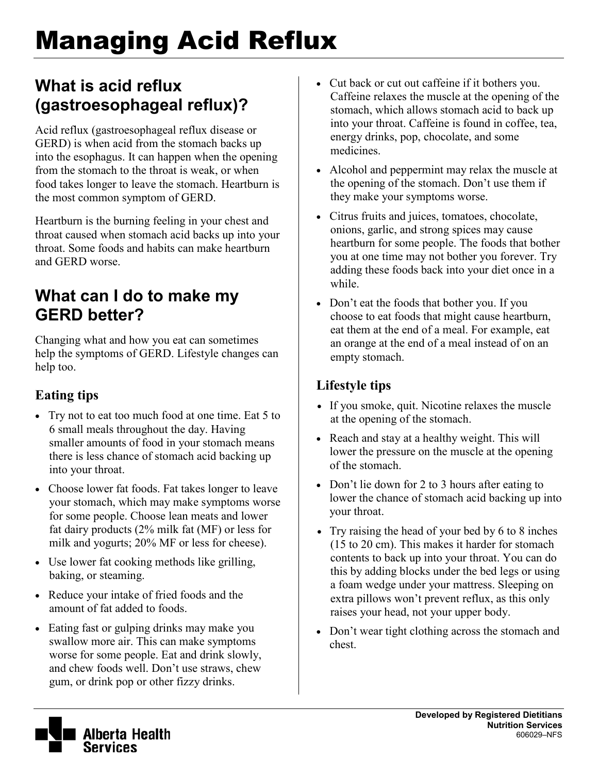# Managing Acid Reflux

## **What is acid reflux (gastroesophageal reflux)?**

Acid reflux (gastroesophageal reflux disease or GERD) is when acid from the stomach backs up into the esophagus. It can happen when the opening from the stomach to the throat is weak, or when food takes longer to leave the stomach. Heartburn is the most common symptom of GERD.

Heartburn is the burning feeling in your chest and throat caused when stomach acid backs up into your throat. Some foods and habits can make heartburn and GERD worse.

## **What can I do to make my GERD better?**

Changing what and how you eat can sometimes help the symptoms of GERD. Lifestyle changes can help too.

### **Eating tips**

- Try not to eat too much food at one time. Eat 5 to 6 small meals throughout the day. Having smaller amounts of food in your stomach means there is less chance of stomach acid backing up into your throat.
- Choose lower fat foods. Fat takes longer to leave your stomach, which may make symptoms worse for some people. Choose lean meats and lower fat dairy products (2% milk fat (MF) or less for milk and yogurts; 20% MF or less for cheese).
- Use lower fat cooking methods like grilling, baking, or steaming.
- Reduce your intake of fried foods and the amount of fat added to foods.
- Eating fast or gulping drinks may make you swallow more air. This can make symptoms worse for some people. Eat and drink slowly, and chew foods well. Don't use straws, chew gum, or drink pop or other fizzy drinks.
- Cut back or cut out caffeine if it bothers you. Caffeine relaxes the muscle at the opening of the stomach, which allows stomach acid to back up into your throat. Caffeine is found in coffee, tea, energy drinks, pop, chocolate, and some medicines.
- Alcohol and peppermint may relax the muscle at the opening of the stomach. Don't use them if they make your symptoms worse.
- Citrus fruits and juices, tomatoes, chocolate, onions, garlic, and strong spices may cause heartburn for some people. The foods that bother you at one time may not bother you forever. Try adding these foods back into your diet once in a while.
- Don't eat the foods that bother you. If you choose to eat foods that might cause heartburn, eat them at the end of a meal. For example, eat an orange at the end of a meal instead of on an empty stomach.

#### **Lifestyle tips**

- If you smoke, quit. Nicotine relaxes the muscle at the opening of the stomach.
- Reach and stay at a healthy weight. This will lower the pressure on the muscle at the opening of the stomach.
- Don't lie down for 2 to 3 hours after eating to lower the chance of stomach acid backing up into your throat.
- Try raising the head of your bed by 6 to 8 inches (15 to 20 cm). This makes it harder for stomach contents to back up into your throat. You can do this by adding blocks under the bed legs or using a foam wedge under your mattress. Sleeping on extra pillows won't prevent reflux, as this only raises your head, not your upper body.
- Don't wear tight clothing across the stomach and chest.